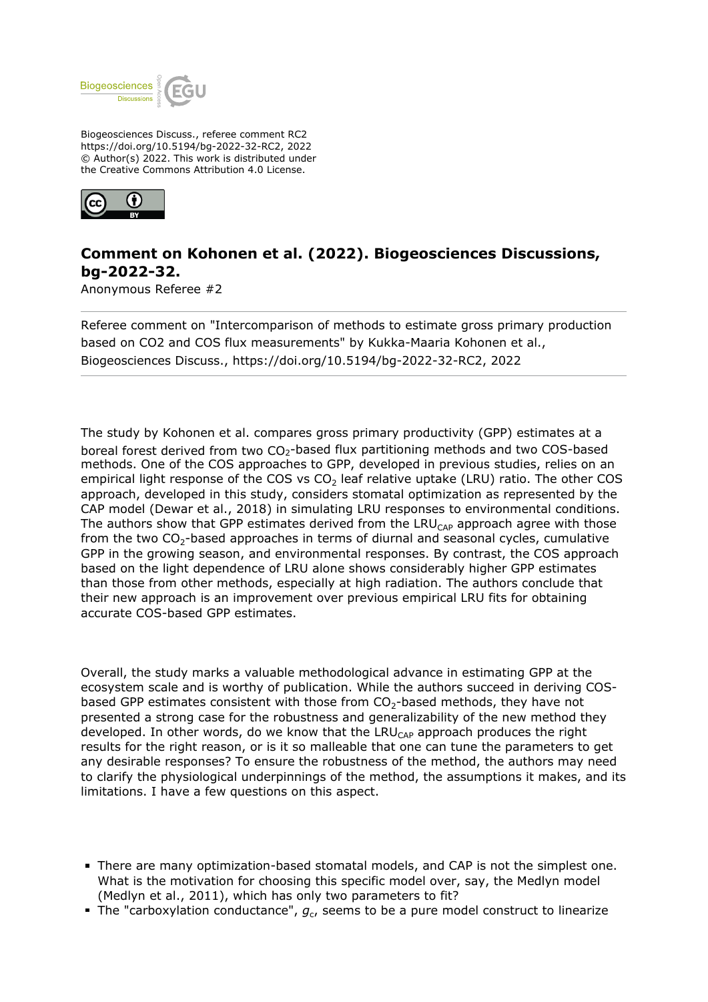

Biogeosciences Discuss., referee comment RC2 https://doi.org/10.5194/bg-2022-32-RC2, 2022 © Author(s) 2022. This work is distributed under the Creative Commons Attribution 4.0 License.



## **Comment on Kohonen et al. (2022). Biogeosciences Discussions, bg-2022-32.**

Anonymous Referee #2

Referee comment on "Intercomparison of methods to estimate gross primary production based on CO2 and COS flux measurements" by Kukka-Maaria Kohonen et al., Biogeosciences Discuss., https://doi.org/10.5194/bg-2022-32-RC2, 2022

The study by Kohonen et al. compares gross primary productivity (GPP) estimates at a boreal forest derived from two  $CO<sub>2</sub>$ -based flux partitioning methods and two COS-based methods. One of the COS approaches to GPP, developed in previous studies, relies on an empirical light response of the COS vs  $CO<sub>2</sub>$  leaf relative uptake (LRU) ratio. The other COS approach, developed in this study, considers stomatal optimization as represented by the CAP model (Dewar et al., 2018) in simulating LRU responses to environmental conditions. The authors show that GPP estimates derived from the  $LRU_{CAP}$  approach agree with those from the two  $CO_2$ -based approaches in terms of diurnal and seasonal cycles, cumulative GPP in the growing season, and environmental responses. By contrast, the COS approach based on the light dependence of LRU alone shows considerably higher GPP estimates than those from other methods, especially at high radiation. The authors conclude that their new approach is an improvement over previous empirical LRU fits for obtaining accurate COS-based GPP estimates.

Overall, the study marks a valuable methodological advance in estimating GPP at the ecosystem scale and is worthy of publication. While the authors succeed in deriving COSbased GPP estimates consistent with those from  $CO<sub>2</sub>$ -based methods, they have not presented a strong case for the robustness and generalizability of the new method they developed. In other words, do we know that the LRU<sub>CAP</sub> approach produces the right results for the right reason, or is it so malleable that one can tune the parameters to get any desirable responses? To ensure the robustness of the method, the authors may need to clarify the physiological underpinnings of the method, the assumptions it makes, and its limitations. I have a few questions on this aspect.

- There are many optimization-based stomatal models, and CAP is not the simplest one. What is the motivation for choosing this specific model over, say, the Medlyn model (Medlyn et al., 2011), which has only two parameters to fit?
- The "carboxylation conductance",  $g_{\rm c}$ , seems to be a pure model construct to linearize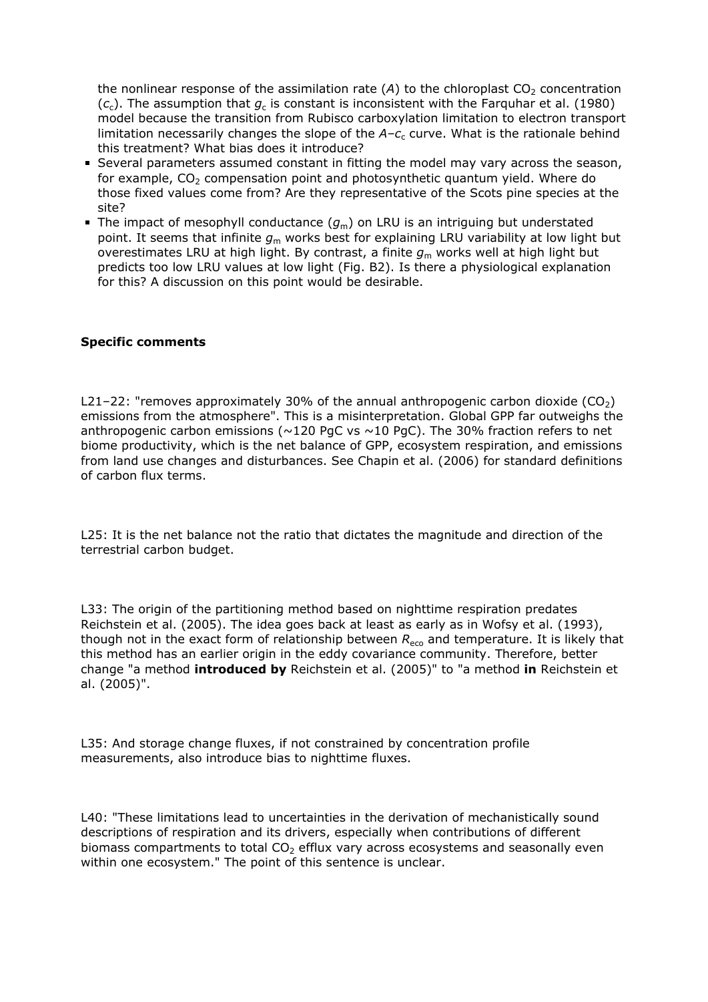the nonlinear response of the assimilation rate  $(A)$  to the chloroplast  $CO<sub>2</sub>$  concentration ( $c_{\rm c}$ ). The assumption that  $g_{\rm c}$  is constant is inconsistent with the Farquhar et al. (1980) model because the transition from Rubisco carboxylation limitation to electron transport limitation necessarily changes the slope of the A-c<sub>c</sub> curve. What is the rationale behind this treatment? What bias does it introduce?

- Several parameters assumed constant in fitting the model may vary across the season, for example,  $CO<sub>2</sub>$  compensation point and photosynthetic quantum yield. Where do those fixed values come from? Are they representative of the Scots pine species at the site?
- The impact of mesophyll conductance  $(g_m)$  on LRU is an intriguing but understated point. It seems that infinite  $g_m$  works best for explaining LRU variability at low light but overestimates LRU at high light. By contrast, a finite  $g<sub>m</sub>$  works well at high light but predicts too low LRU values at low light (Fig. B2). Is there a physiological explanation for this? A discussion on this point would be desirable.

## **Specific comments**

L21-22: "removes approximately 30% of the annual anthropogenic carbon dioxide  $(CO<sub>2</sub>)$ emissions from the atmosphere". This is a misinterpretation. Global GPP far outweighs the anthropogenic carbon emissions ( $\sim$ 120 PgC vs  $\sim$ 10 PgC). The 30% fraction refers to net biome productivity, which is the net balance of GPP, ecosystem respiration, and emissions from land use changes and disturbances. See Chapin et al. (2006) for standard definitions of carbon flux terms.

L25: It is the net balance not the ratio that dictates the magnitude and direction of the terrestrial carbon budget.

L33: The origin of the partitioning method based on nighttime respiration predates Reichstein et al. (2005). The idea goes back at least as early as in Wofsy et al. (1993), though not in the exact form of relationship between  $R_{\text{eco}}$  and temperature. It is likely that this method has an earlier origin in the eddy covariance community. Therefore, better change "a method **introduced by** Reichstein et al. (2005)" to "a method **in** Reichstein et al. (2005)".

L35: And storage change fluxes, if not constrained by concentration profile measurements, also introduce bias to nighttime fluxes.

L40: "These limitations lead to uncertainties in the derivation of mechanistically sound descriptions of respiration and its drivers, especially when contributions of different biomass compartments to total  $CO<sub>2</sub>$  efflux vary across ecosystems and seasonally even within one ecosystem." The point of this sentence is unclear.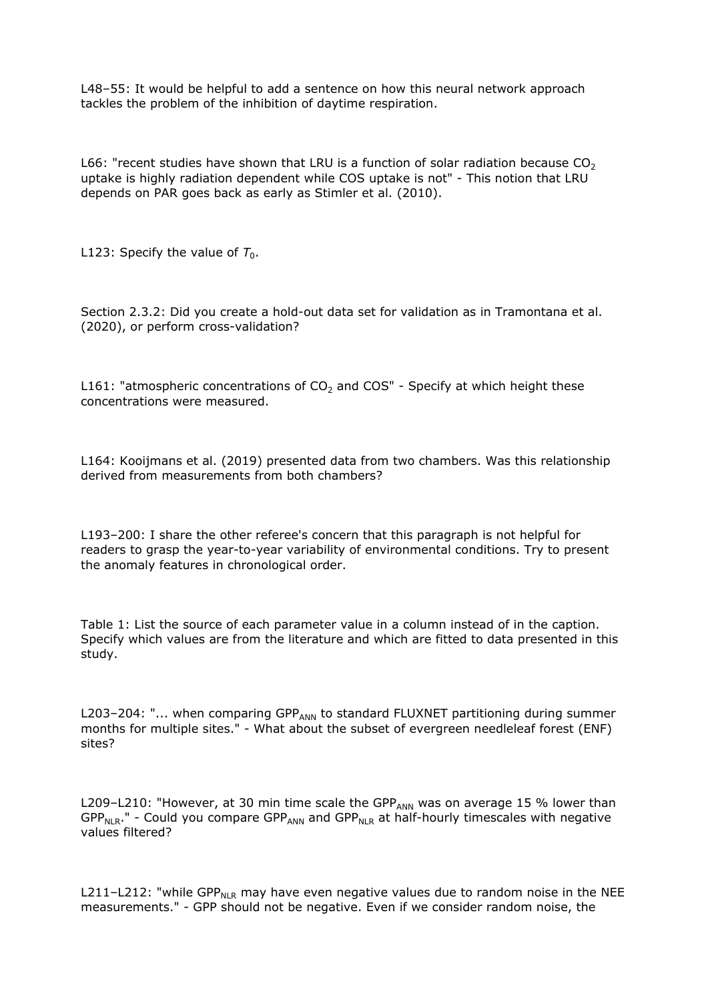L48–55: It would be helpful to add a sentence on how this neural network approach tackles the problem of the inhibition of daytime respiration.

L66: "recent studies have shown that LRU is a function of solar radiation because  $CO<sub>2</sub>$ uptake is highly radiation dependent while COS uptake is not" - This notion that LRU depends on PAR goes back as early as Stimler et al. (2010).

L123: Specify the value of  $T_0$ .

Section 2.3.2: Did you create a hold-out data set for validation as in Tramontana et al. (2020), or perform cross-validation?

L161: "atmospheric concentrations of  $CO<sub>2</sub>$  and COS" - Specify at which height these concentrations were measured.

L164: Kooijmans et al. (2019) presented data from two chambers. Was this relationship derived from measurements from both chambers?

L193–200: I share the other referee's concern that this paragraph is not helpful for readers to grasp the year-to-year variability of environmental conditions. Try to present the anomaly features in chronological order.

Table 1: List the source of each parameter value in a column instead of in the caption. Specify which values are from the literature and which are fitted to data presented in this study.

L203-204: " $\ldots$  when comparing GPP<sub>ANN</sub> to standard FLUXNET partitioning during summer months for multiple sites." - What about the subset of evergreen needleleaf forest (ENF) sites?

L209-L210: "However, at 30 min time scale the GPP<sub>ANN</sub> was on average 15 % lower than  $GPP_{NIR}$ ." - Could you compare  $GPP_{ANN}$  and  $GPP_{NLR}$  at half-hourly timescales with negative values filtered?

L211-L212: "while GPP<sub>NLR</sub> may have even negative values due to random noise in the NEE measurements." - GPP should not be negative. Even if we consider random noise, the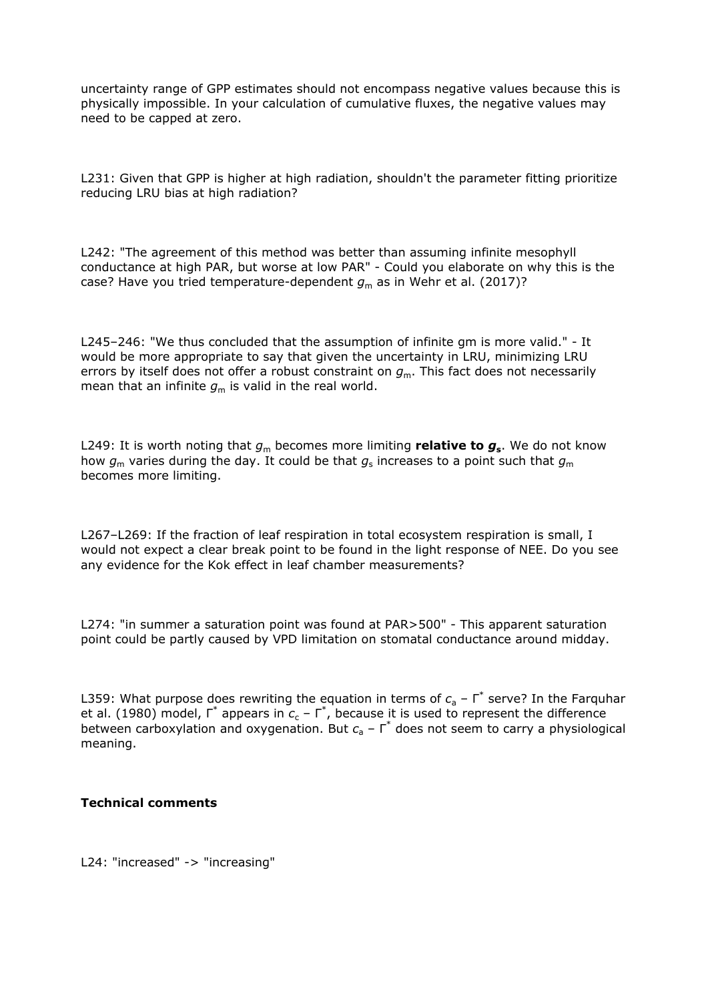uncertainty range of GPP estimates should not encompass negative values because this is physically impossible. In your calculation of cumulative fluxes, the negative values may need to be capped at zero.

L231: Given that GPP is higher at high radiation, shouldn't the parameter fitting prioritize reducing LRU bias at high radiation?

L242: "The agreement of this method was better than assuming infinite mesophyll conductance at high PAR, but worse at low PAR" - Could you elaborate on why this is the case? Have you tried temperature-dependent  $g_m$  as in Wehr et al. (2017)?

L245–246: "We thus concluded that the assumption of infinite gm is more valid." - It would be more appropriate to say that given the uncertainty in LRU, minimizing LRU errors by itself does not offer a robust constraint on  $g<sub>m</sub>$ . This fact does not necessarily mean that an infinite  $g_m$  is valid in the real world.

L249: It is worth noting that  $g_m$  becomes more limiting relative to  $g_s$ . We do not know how  $g_{_{\mathsf{m}}}$  varies during the day. It could be that  $g_{_{\mathrm{S}}}$  increases to a point such that  $g_{_{\mathsf{m}}}$ becomes more limiting.

L267–L269: If the fraction of leaf respiration in total ecosystem respiration is small, I would not expect a clear break point to be found in the light response of NEE. Do you see any evidence for the Kok effect in leaf chamber measurements?

L274: "in summer a saturation point was found at PAR>500" - This apparent saturation point could be partly caused by VPD limitation on stomatal conductance around midday.

L359: What purpose does rewriting the equation in terms of  $c_a$  - Γ<sup>\*</sup> serve? In the Farquhar et al. (1980) model,  $\overline{\Gamma}^*$  appears in  $c_c$  –  $\overline{\Gamma}^*$ , because it is used to represent the difference between carboxylation and oxygenation. But  $c<sub>a</sub>$  – Γ<sup>\*</sup> does not seem to carry a physiological meaning.

## **Technical comments**

L24: "increased" -> "increasing"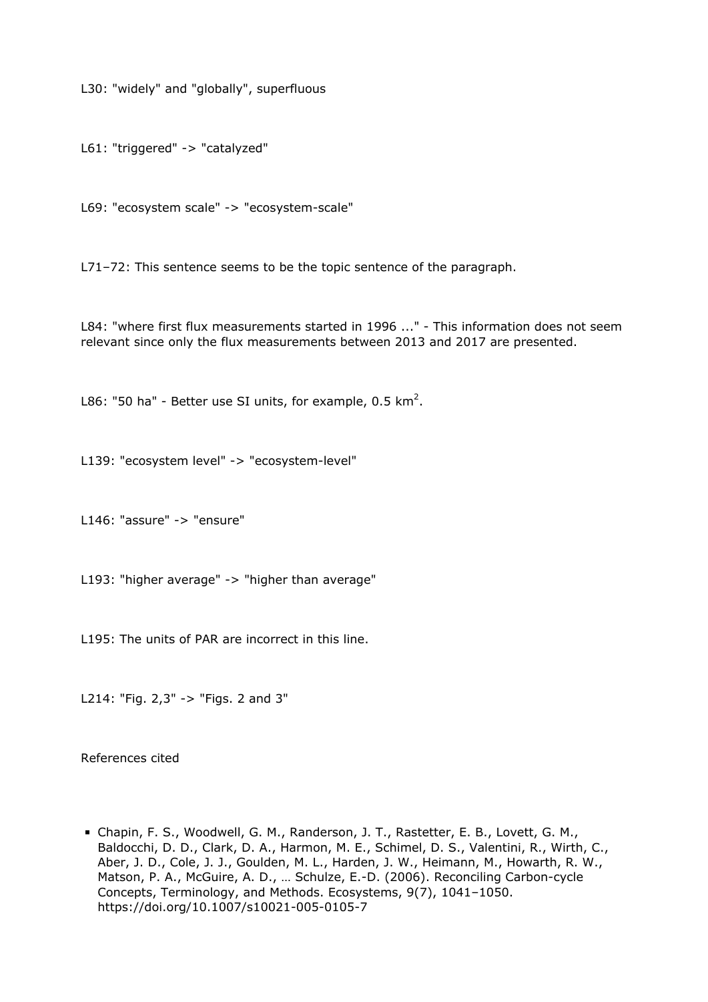L30: "widely" and "globally", superfluous

L61: "triggered" -> "catalyzed"

L69: "ecosystem scale" -> "ecosystem-scale"

L71–72: This sentence seems to be the topic sentence of the paragraph.

L84: "where first flux measurements started in 1996 ..." - This information does not seem relevant since only the flux measurements between 2013 and 2017 are presented.

L86: "50 ha" - Better use SI units, for example, 0.5 km<sup>2</sup>.

L139: "ecosystem level" -> "ecosystem-level"

L146: "assure" -> "ensure"

L193: "higher average" -> "higher than average"

L195: The units of PAR are incorrect in this line.

L214: "Fig. 2,3" -> "Figs. 2 and 3"

References cited

Chapin, F. S., Woodwell, G. M., Randerson, J. T., Rastetter, E. B., Lovett, G. M., Baldocchi, D. D., Clark, D. A., Harmon, M. E., Schimel, D. S., Valentini, R., Wirth, C., Aber, J. D., Cole, J. J., Goulden, M. L., Harden, J. W., Heimann, M., Howarth, R. W., Matson, P. A., McGuire, A. D., … Schulze, E.-D. (2006). Reconciling Carbon-cycle Concepts, Terminology, and Methods. Ecosystems, 9(7), 1041–1050. https://doi.org/10.1007/s10021-005-0105-7